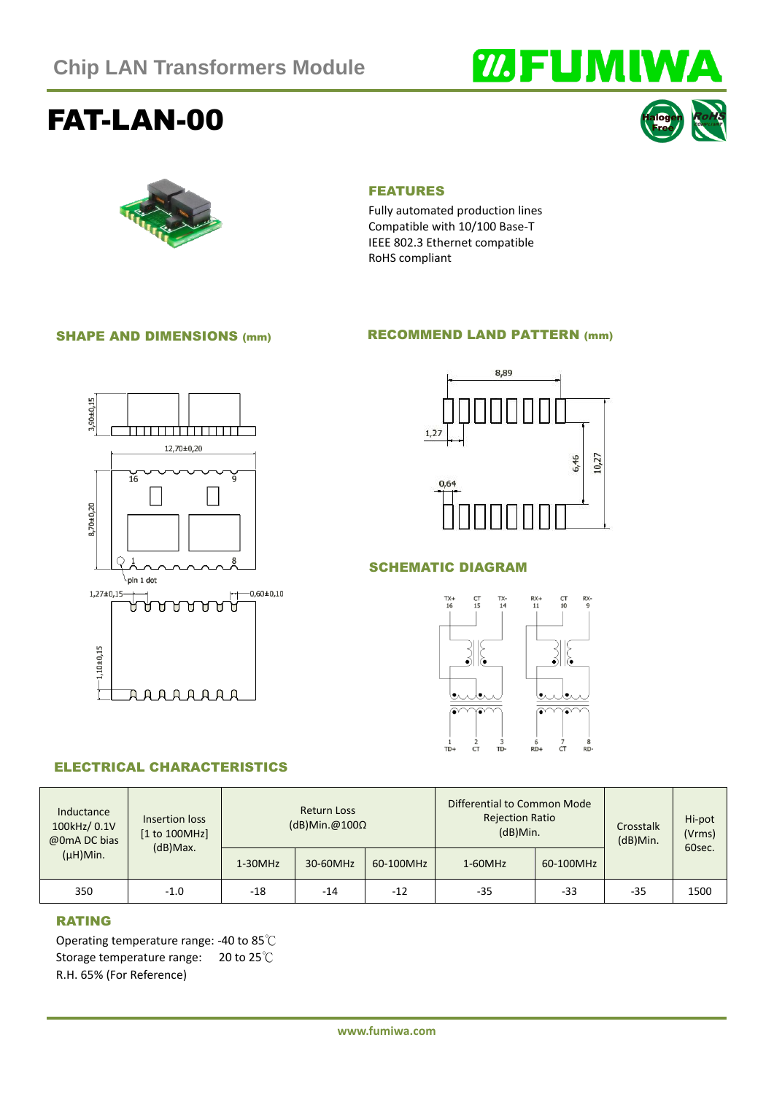# **WEUMIWA**

# FAT-LAN-00





#### FEATURES

Fully automated production lines Compatible with 10/100 Base-T IEEE 802.3 Ethernet compatible RoHS compliant

#### SHAPE AND DIMENSIONS (mm)

#### RECOMMEND LAND PATTERN (mm)





#### SCHEMATIC DIAGRAM



#### ELECTRICAL CHARACTERISTICS

| Inductance<br>100kHz/ 0.1V<br>@0mA DC bias<br>$(\mu H)$ Min. | Insertion loss<br>[1 to 100MHz]<br>$(d)$ Max. | <b>Return Loss</b><br>$(dB)$ Min.@100 $\Omega$ |          |           | Differential to Common Mode<br><b>Rejection Ratio</b><br>$(dB)$ Min. |           | Crosstalk<br>$(dB)$ Min. | Hi-pot<br>(Vrms)<br>60sec. |
|--------------------------------------------------------------|-----------------------------------------------|------------------------------------------------|----------|-----------|----------------------------------------------------------------------|-----------|--------------------------|----------------------------|
|                                                              |                                               | $1-30MHz$                                      | 30-60MHz | 60-100MHz | $1-60MHz$                                                            | 60-100MHz |                          |                            |
| 350                                                          | $-1.0$                                        | -18                                            | $-14$    | $-12$     | $-35$                                                                | -33       | -35                      | 1500                       |

#### RATING

Operating temperature range: -40 to 85℃ Storage temperature range: 20 to 25℃ R.H. 65% (For Reference)